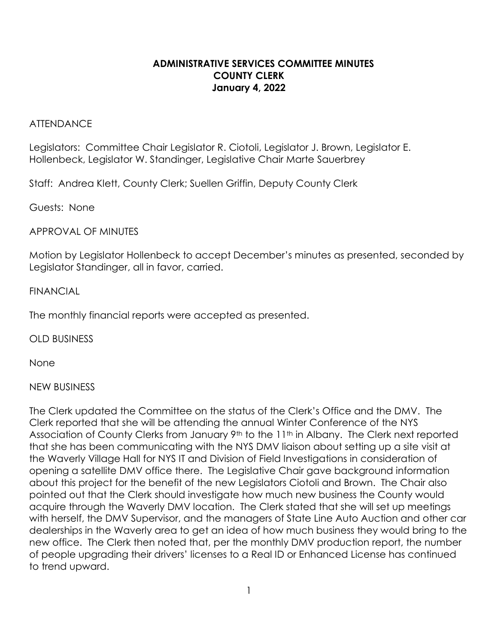## **ADMINISTRATIVE SERVICES COMMITTEE MINUTES COUNTY CLERK January 4, 2022**

#### **ATTENDANCE**

Legislators:Committee Chair Legislator R. Ciotoli, Legislator J. Brown, Legislator E. Hollenbeck, Legislator W. Standinger, Legislative Chair Marte Sauerbrey

Staff: Andrea Klett, County Clerk; Suellen Griffin, Deputy County Clerk

Guests: None

APPROVAL OF MINUTES

Motion by Legislator Hollenbeck to accept December's minutes as presented, seconded by Legislator Standinger, all in favor, carried.

### FINANCIAL

The monthly financial reports were accepted as presented.

OLD BUSINESS

None

## NEW BUSINESS

The Clerk updated the Committee on the status of the Clerk's Office and the DMV. The Clerk reported that she will be attending the annual Winter Conference of the NYS Association of County Clerks from January 9<sup>th</sup> to the 11<sup>th</sup> in Albany. The Clerk next reported that she has been communicating with the NYS DMV liaison about setting up a site visit at the Waverly Village Hall for NYS IT and Division of Field Investigations in consideration of opening a satellite DMV office there. The Legislative Chair gave background information about this project for the benefit of the new Legislators Ciotoli and Brown. The Chair also pointed out that the Clerk should investigate how much new business the County would acquire through the Waverly DMV location. The Clerk stated that she will set up meetings with herself, the DMV Supervisor, and the managers of State Line Auto Auction and other car dealerships in the Waverly area to get an idea of how much business they would bring to the new office. The Clerk then noted that, per the monthly DMV production report, the number of people upgrading their drivers' licenses to a Real ID or Enhanced License has continued to trend upward.